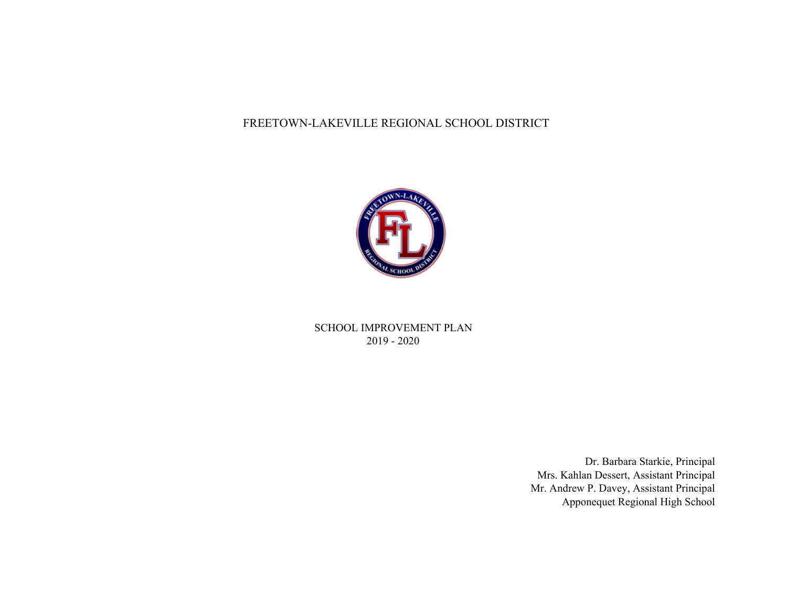#### FREETOWN-LAKEVILLE REGIONAL SCHOOL DISTRICT



SCHOOL IMPROVEMENT PLAN 2019 - 2020

> Dr. Barbara Starkie, Principal Mrs. Kahlan Dessert, Assistant Principal Mr. Andrew P. Davey, Assistant Principal Apponequet Regional High School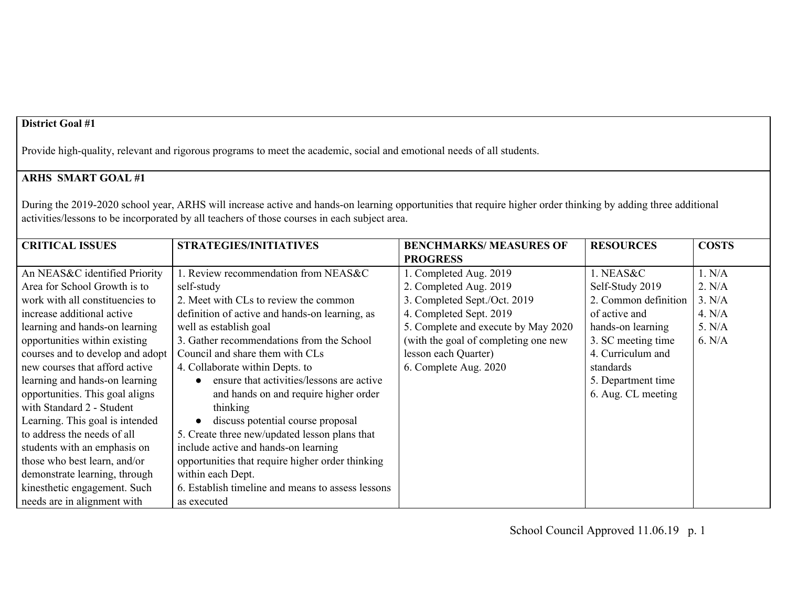Provide high-quality, relevant and rigorous programs to meet the academic, social and emotional needs of all students.

## **ARHS SMART GOAL #1**

During the 2019-2020 school year, ARHS will increase active and hands-on learning opportunities that require higher order thinking by adding three additional activities/lessons to be incorporated by all teachers of those courses in each subject area.

| <b>CRITICAL ISSUES</b>           | <b>STRATEGIES/INITIATIVES</b>                     | <b>BENCHMARKS/ MEASURES OF</b>       | <b>RESOURCES</b>     | <b>COSTS</b> |
|----------------------------------|---------------------------------------------------|--------------------------------------|----------------------|--------------|
|                                  |                                                   | <b>PROGRESS</b>                      |                      |              |
| An NEAS&C identified Priority    | 1. Review recommendation from NEAS&C              | 1. Completed Aug. 2019               | 1. NEAS&C            | 1. N/A       |
| Area for School Growth is to     | self-study                                        | 2. Completed Aug. 2019               | Self-Study 2019      | 2. N/A       |
| work with all constituencies to  | 2. Meet with CLs to review the common             | 3. Completed Sept./Oct. 2019         | 2. Common definition | 3. N/A       |
| increase additional active       | definition of active and hands-on learning, as    | 4. Completed Sept. 2019              | of active and        | 4. $N/A$     |
| learning and hands-on learning   | well as establish goal                            | 5. Complete and execute by May 2020  | hands-on learning    | 5. N/A       |
| opportunities within existing    | 3. Gather recommendations from the School         | (with the goal of completing one new | 3. SC meeting time   | 6. N/A       |
| courses and to develop and adopt | Council and share them with CLs                   | lesson each Quarter)                 | 4. Curriculum and    |              |
| new courses that afford active   | 4. Collaborate within Depts. to                   | 6. Complete Aug. 2020                | standards            |              |
| learning and hands-on learning   | ensure that activities/lessons are active         |                                      | 5. Department time   |              |
| opportunities. This goal aligns  | and hands on and require higher order             |                                      | 6. Aug. CL meeting   |              |
| with Standard 2 - Student        | thinking                                          |                                      |                      |              |
| Learning. This goal is intended  | discuss potential course proposal                 |                                      |                      |              |
| to address the needs of all      | 5. Create three new/updated lesson plans that     |                                      |                      |              |
| students with an emphasis on     | include active and hands-on learning              |                                      |                      |              |
| those who best learn, and/or     | opportunities that require higher order thinking  |                                      |                      |              |
| demonstrate learning, through    | within each Dept.                                 |                                      |                      |              |
| kinesthetic engagement. Such     | 6. Establish timeline and means to assess lessons |                                      |                      |              |
| needs are in alignment with      | as executed                                       |                                      |                      |              |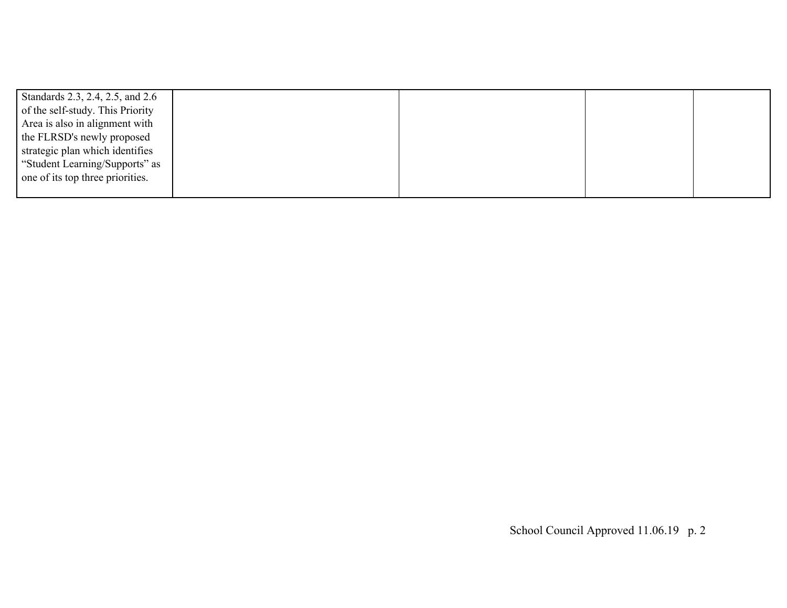| Standards 2.3, 2.4, 2.5, and 2.6 |  |  |
|----------------------------------|--|--|
| of the self-study. This Priority |  |  |
| Area is also in alignment with   |  |  |
| the FLRSD's newly proposed       |  |  |
| strategic plan which identifies  |  |  |
| "Student Learning/Supports" as   |  |  |
| one of its top three priorities. |  |  |
|                                  |  |  |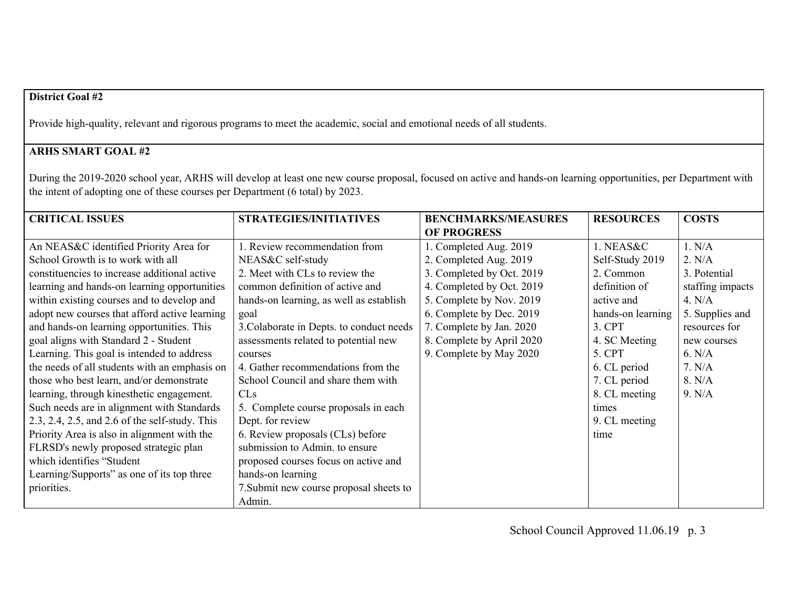Provide high-quality, relevant and rigorous programs to meet the academic, social and emotional needs of all students.

# **ARHS SMART GOAL #2**

During the 2019-2020 school year, ARHS will develop at least one new course proposal, focused on active and hands-on learning opportunities, per Department with the intent of adopting one of these courses per Department (6 total) by 2023.

| <b>CRITICAL ISSUES</b>                         | <b>STRATEGIES/INITIATIVES</b>            | <b>BENCHMARKS/MEASURES</b> | <b>RESOURCES</b>  | <b>COSTS</b>     |
|------------------------------------------------|------------------------------------------|----------------------------|-------------------|------------------|
|                                                |                                          | <b>OF PROGRESS</b>         |                   |                  |
| An NEAS&C identified Priority Area for         | 1. Review recommendation from            | 1. Completed Aug. 2019     | 1. NEAS&C         | 1. N/A           |
| School Growth is to work with all              | NEAS&C self-study                        | 2. Completed Aug. 2019     | Self-Study 2019   | 2. N/A           |
| constituencies to increase additional active   | 2. Meet with CLs to review the           | 3. Completed by Oct. 2019  | 2. Common         | 3. Potential     |
| learning and hands-on learning opportunities   | common definition of active and          | 4. Completed by Oct. 2019  | definition of     | staffing impacts |
| within existing courses and to develop and     | hands-on learning, as well as establish  | 5. Complete by Nov. 2019   | active and        | 4. $N/A$         |
| adopt new courses that afford active learning  | goal                                     | 6. Complete by Dec. 2019   | hands-on learning | 5. Supplies and  |
| and hands-on learning opportunities. This      | 3. Colaborate in Depts. to conduct needs | 7. Complete by Jan. 2020   | 3. CPT            | resources for    |
| goal aligns with Standard 2 - Student          | assessments related to potential new     | 8. Complete by April 2020  | 4. SC Meeting     | new courses      |
| Learning. This goal is intended to address     | courses                                  | 9. Complete by May 2020    | 5. CPT            | 6. N/A           |
| the needs of all students with an emphasis on  | 4. Gather recommendations from the       |                            | 6. CL period      | 7. N/A           |
| those who best learn, and/or demonstrate       | School Council and share them with       |                            | 7. CL period      | 8. N/A           |
| learning, through kinesthetic engagement.      | <b>CLS</b>                               |                            | 8. CL meeting     | 9. N/A           |
| Such needs are in alignment with Standards     | 5. Complete course proposals in each     |                            | times             |                  |
| 2.3, 2.4, 2.5, and 2.6 of the self-study. This | Dept. for review                         |                            | 9. CL meeting     |                  |
| Priority Area is also in alignment with the    | 6. Review proposals (CLs) before         |                            | time              |                  |
| FLRSD's newly proposed strategic plan          | submission to Admin. to ensure           |                            |                   |                  |
| which identifies "Student                      | proposed courses focus on active and     |                            |                   |                  |
| Learning/Supports" as one of its top three     | hands-on learning                        |                            |                   |                  |
| priorities.                                    | 7. Submit new course proposal sheets to  |                            |                   |                  |
|                                                | Admin.                                   |                            |                   |                  |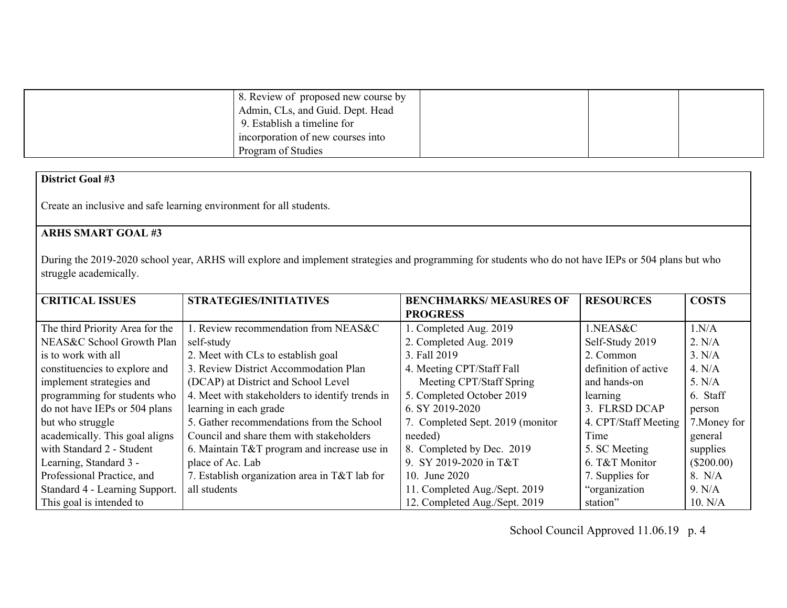| 8. Review of proposed new course by |  |  |
|-------------------------------------|--|--|
| Admin, CLs, and Guid. Dept. Head    |  |  |
| 9. Establish a timeline for         |  |  |
| incorporation of new courses into   |  |  |
| Program of Studies                  |  |  |

Create an inclusive and safe learning environment for all students.

## **ARHS SMART GOAL #3**

During the 2019-2020 school year, ARHS will explore and implement strategies and programming for students who do not have IEPs or 504 plans but who struggle academically.

| <b>CRITICAL ISSUES</b>          | <b>STRATEGIES/INITIATIVES</b>                   | <b>BENCHMARKS/ MEASURES OF</b>   | <b>RESOURCES</b>     | <b>COSTS</b> |
|---------------------------------|-------------------------------------------------|----------------------------------|----------------------|--------------|
|                                 |                                                 | <b>PROGRESS</b>                  |                      |              |
| The third Priority Area for the | 1. Review recommendation from NEAS&C            | 1. Completed Aug. 2019           | 1.NEAS&C             | 1.N/A        |
| NEAS&C School Growth Plan       | self-study                                      | 2. Completed Aug. 2019           | Self-Study 2019      | 2. N/A       |
| is to work with all             | 2. Meet with CLs to establish goal              | 3. Fall 2019                     | 2. Common            | 3. N/A       |
| constituencies to explore and   | 3. Review District Accommodation Plan           | 4. Meeting CPT/Staff Fall        | definition of active | 4. N/A       |
| implement strategies and        | (DCAP) at District and School Level             | Meeting CPT/Staff Spring         | and hands-on         | 5. N/A       |
| programming for students who    | 4. Meet with stakeholders to identify trends in | 5. Completed October 2019        | learning             | 6. Staff     |
| do not have IEPs or 504 plans   | learning in each grade                          | 6. SY 2019-2020                  | 3. FLRSD DCAP        | person       |
| but who struggle                | 5. Gather recommendations from the School       | 7. Completed Sept. 2019 (monitor | 4. CPT/Staff Meeting | 7. Money for |
| academically. This goal aligns  | Council and share them with stakeholders        | needed)                          | Time                 | general      |
| with Standard 2 - Student       | 6. Maintain $T&T$ program and increase use in   | 8. Completed by Dec. 2019        | 5. SC Meeting        | supplies     |
| Learning, Standard 3 -          | place of Ac. Lab                                | 9. SY 2019-2020 in T&T           | 6. T&T Monitor       | $(\$200.00)$ |
| Professional Practice, and      | 7. Establish organization area in T&T lab for   | 10. June 2020                    | 7. Supplies for      | 8. N/A       |
| Standard 4 - Learning Support.  | all students                                    | 11. Completed Aug./Sept. 2019    | "organization"       | 9. N/A       |
| This goal is intended to        |                                                 | 12. Completed Aug./Sept. 2019    | station"             | 10. N/A      |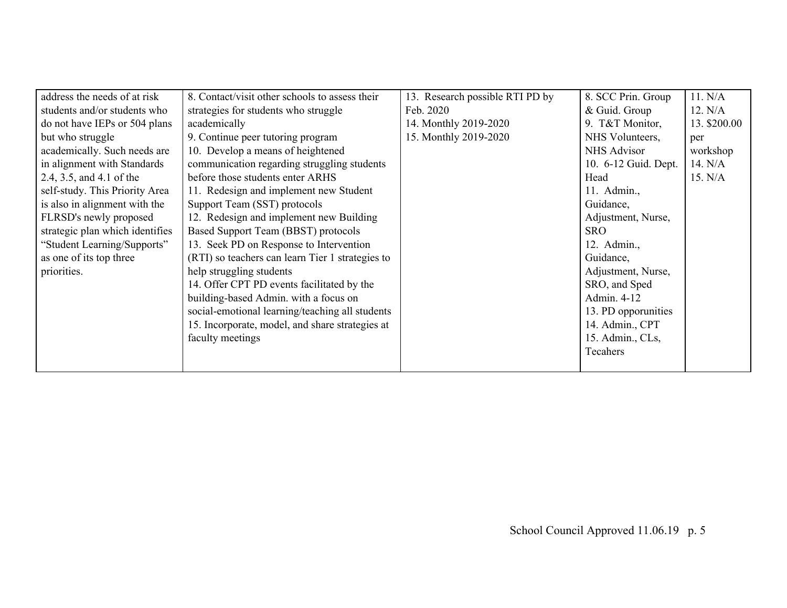| address the needs of at risk    | 8. Contact/visit other schools to assess their   | 13. Research possible RTI PD by | 8. SCC Prin. Group   | 11. N/A      |
|---------------------------------|--------------------------------------------------|---------------------------------|----------------------|--------------|
| students and/or students who    | strategies for students who struggle             | Feb. 2020                       | & Guid. Group        | 12. N/A      |
| do not have IEPs or 504 plans   | academically                                     | 14. Monthly 2019-2020           | 9. T&T Monitor,      | 13. \$200.00 |
| but who struggle                | 9. Continue peer tutoring program                | 15. Monthly 2019-2020           | NHS Volunteers,      | per          |
| academically. Such needs are    | 10. Develop a means of heightened                |                                 | NHS Advisor          | workshop     |
| in alignment with Standards     | communication regarding struggling students      |                                 | 10. 6-12 Guid. Dept. | 14. N/A      |
| 2.4, 3.5, and 4.1 of the        | before those students enter ARHS                 |                                 | Head                 | 15. N/A      |
| self-study. This Priority Area  | 11. Redesign and implement new Student           |                                 | 11. Admin.,          |              |
| is also in alignment with the   | Support Team (SST) protocols                     |                                 | Guidance,            |              |
| FLRSD's newly proposed          | 12. Redesign and implement new Building          |                                 | Adjustment, Nurse,   |              |
| strategic plan which identifies | Based Support Team (BBST) protocols              |                                 | SRO.                 |              |
| "Student Learning/Supports"     | 13. Seek PD on Response to Intervention          |                                 | 12. Admin.,          |              |
| as one of its top three         | (RTI) so teachers can learn Tier 1 strategies to |                                 | Guidance,            |              |
| priorities.                     | help struggling students                         |                                 | Adjustment, Nurse,   |              |
|                                 | 14. Offer CPT PD events facilitated by the       |                                 | SRO, and Sped        |              |
|                                 | building-based Admin. with a focus on            |                                 | Admin. 4-12          |              |
|                                 | social-emotional learning/teaching all students  |                                 | 13. PD opportunities |              |
|                                 | 15. Incorporate, model, and share strategies at  |                                 | 14. Admin., CPT      |              |
|                                 | faculty meetings                                 |                                 | 15. Admin., CLs,     |              |
|                                 |                                                  |                                 | Tecahers             |              |
|                                 |                                                  |                                 |                      |              |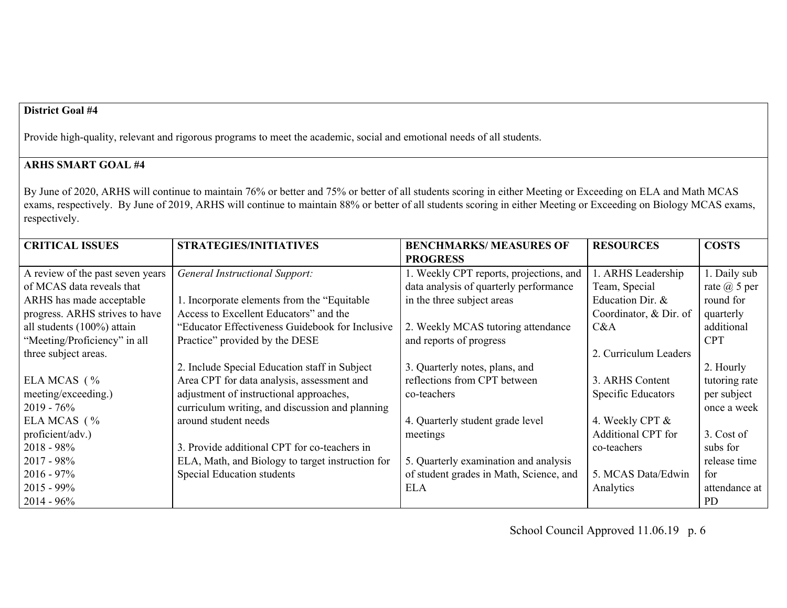Provide high-quality, relevant and rigorous programs to meet the academic, social and emotional needs of all students.

### **ARHS SMART GOAL #4**

By June of 2020, ARHS will continue to maintain 76% or better and 75% or better of all students scoring in either Meeting or Exceeding on ELA and Math MCAS exams, respectively. By June of 2019, ARHS will continue to maintain 88% or better of all students scoring in either Meeting or Exceeding on Biology MCAS exams, respectively.

| <b>CRITICAL ISSUES</b>           | <b>STRATEGIES/INITIATIVES</b>                    | <b>BENCHMARKS/ MEASURES OF</b>          | <b>RESOURCES</b>          | <b>COSTS</b>     |
|----------------------------------|--------------------------------------------------|-----------------------------------------|---------------------------|------------------|
|                                  |                                                  | <b>PROGRESS</b>                         |                           |                  |
| A review of the past seven years | <b>General Instructional Support:</b>            | 1. Weekly CPT reports, projections, and | L. ARHS Leadership        | 1. Daily sub     |
| of MCAS data reveals that        |                                                  | data analysis of quarterly performance  | Team, Special             | rate $(a)$ 5 per |
| ARHS has made acceptable         | 1. Incorporate elements from the "Equitable"     | in the three subject areas              | Education Dir. &          | round for        |
| progress. ARHS strives to have   | Access to Excellent Educators" and the           |                                         | Coordinator, & Dir. of    | quarterly        |
| all students (100%) attain       | "Educator Effectiveness Guidebook for Inclusive" | 2. Weekly MCAS tutoring attendance      | C&A                       | additional       |
| "Meeting/Proficiency" in all     | Practice" provided by the DESE                   | and reports of progress                 |                           | <b>CPT</b>       |
| three subject areas.             |                                                  |                                         | 2. Curriculum Leaders     |                  |
|                                  | 2. Include Special Education staff in Subject    | 3. Quarterly notes, plans, and          |                           | 2. Hourly        |
| ELA MCAS (%                      | Area CPT for data analysis, assessment and       | reflections from CPT between            | 3. ARHS Content           | tutoring rate    |
| meeting/exceeding.)              | adjustment of instructional approaches,          | co-teachers                             | <b>Specific Educators</b> | per subject      |
| $2019 - 76%$                     | curriculum writing, and discussion and planning  |                                         |                           | once a week      |
| ELA MCAS $( %$                   | around student needs                             | 4. Quarterly student grade level        | 4. Weekly CPT &           |                  |
| proficient/adv.)                 |                                                  | meetings                                | Additional CPT for        | 3. Cost of       |
| $2018 - 98\%$                    | 3. Provide additional CPT for co-teachers in     |                                         | co-teachers               | subs for         |
| $2017 - 98\%$                    | ELA, Math, and Biology to target instruction for | 5. Quarterly examination and analysis   |                           | release time     |
| $2016 - 97\%$                    | Special Education students                       | of student grades in Math, Science, and | 5. MCAS Data/Edwin        | for              |
| $2015 - 99\%$                    |                                                  | <b>ELA</b>                              | Analytics                 | attendance at    |
| $2014 - 96\%$                    |                                                  |                                         |                           | PD.              |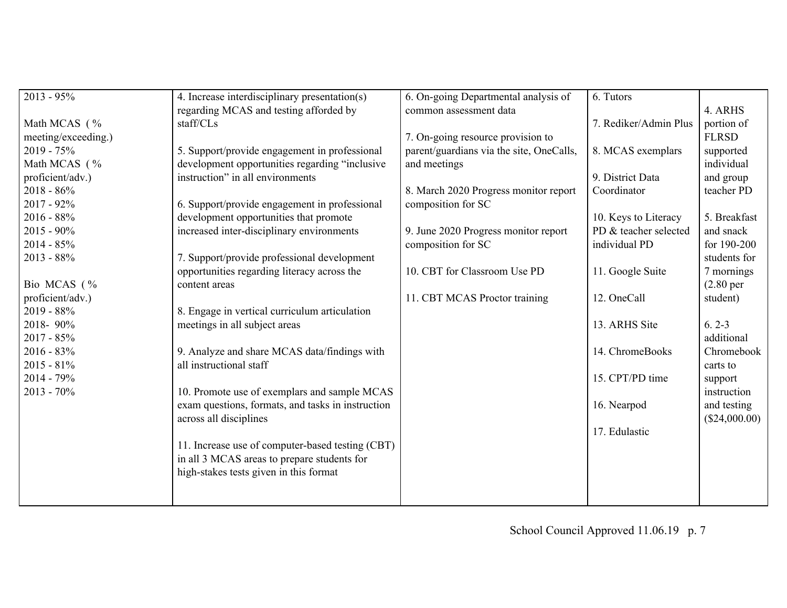| $2013 - 95\%$       | 4. Increase interdisciplinary presentation(s)     | 6. On-going Departmental analysis of     | 6. Tutors             |                        |
|---------------------|---------------------------------------------------|------------------------------------------|-----------------------|------------------------|
|                     | regarding MCAS and testing afforded by            | common assessment data                   |                       | 4. ARHS                |
| Math MCAS (%        | staff/CLs                                         |                                          | 7. Rediker/Admin Plus | portion of             |
| meeting/exceeding.) |                                                   | 7. On-going resource provision to        |                       | <b>FLRSD</b>           |
| $2019 - 75%$        | 5. Support/provide engagement in professional     | parent/guardians via the site, OneCalls, | 8. MCAS exemplars     | supported              |
| Math MCAS (%        | development opportunities regarding "inclusive    | and meetings                             |                       | individual             |
| proficient/adv.)    | instruction" in all environments                  |                                          | 9. District Data      | and group              |
| $2018 - 86\%$       |                                                   | 8. March 2020 Progress monitor report    | Coordinator           | teacher PD             |
| $2017 - 92\%$       | 6. Support/provide engagement in professional     | composition for SC                       |                       |                        |
| $2016 - 88\%$       | development opportunities that promote            |                                          | 10. Keys to Literacy  | 5. Breakfast           |
| $2015 - 90\%$       | increased inter-disciplinary environments         | 9. June 2020 Progress monitor report     | PD & teacher selected | and snack              |
| $2014 - 85%$        |                                                   | composition for SC                       | individual PD         | for 190-200            |
| $2013 - 88\%$       | 7. Support/provide professional development       |                                          |                       | students for           |
|                     | opportunities regarding literacy across the       | 10. CBT for Classroom Use PD             | 11. Google Suite      | 7 mornings             |
| Bio MCAS (%         | content areas                                     |                                          |                       | (2.80 <sub>per</sub> ) |
| proficient/adv.)    |                                                   | 11. CBT MCAS Proctor training            | 12. OneCall           | student)               |
| $2019 - 88\%$       | 8. Engage in vertical curriculum articulation     |                                          |                       |                        |
| 2018-90%            | meetings in all subject areas                     |                                          | 13. ARHS Site         | $6.2 - 3$              |
| $2017 - 85\%$       |                                                   |                                          |                       | additional             |
| $2016 - 83\%$       | 9. Analyze and share MCAS data/findings with      |                                          | 14. ChromeBooks       | Chromebook             |
| $2015 - 81\%$       | all instructional staff                           |                                          |                       | carts to               |
| $2014 - 79\%$       |                                                   |                                          | 15. CPT/PD time       | support                |
| $2013 - 70\%$       | 10. Promote use of exemplars and sample MCAS      |                                          |                       | instruction            |
|                     | exam questions, formats, and tasks in instruction |                                          | 16. Nearpod           | and testing            |
|                     | across all disciplines                            |                                          |                       | (\$24,000.00)          |
|                     |                                                   |                                          | 17. Edulastic         |                        |
|                     | 11. Increase use of computer-based testing (CBT)  |                                          |                       |                        |
|                     | in all 3 MCAS areas to prepare students for       |                                          |                       |                        |
|                     | high-stakes tests given in this format            |                                          |                       |                        |
|                     |                                                   |                                          |                       |                        |
|                     |                                                   |                                          |                       |                        |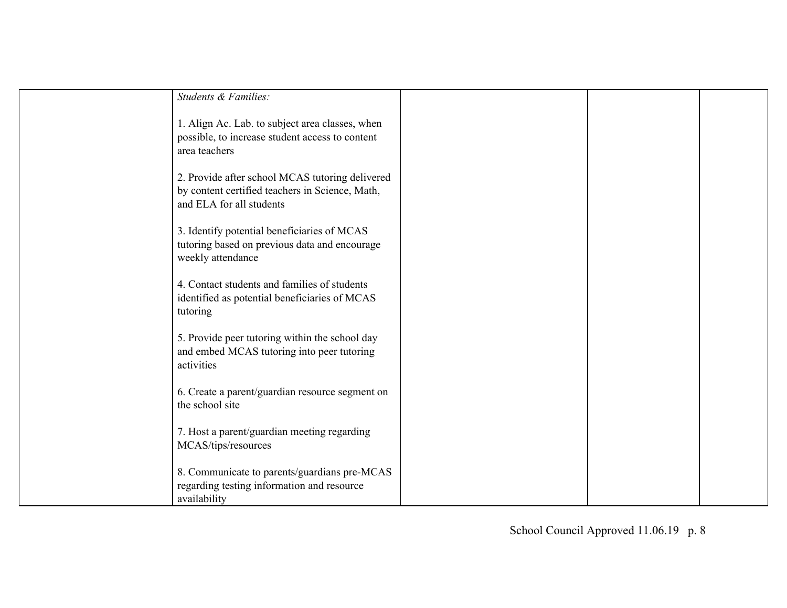| Students & Families:                                                                                                           |  |  |
|--------------------------------------------------------------------------------------------------------------------------------|--|--|
| 1. Align Ac. Lab. to subject area classes, when<br>possible, to increase student access to content<br>area teachers            |  |  |
| 2. Provide after school MCAS tutoring delivered<br>by content certified teachers in Science, Math,<br>and ELA for all students |  |  |
| 3. Identify potential beneficiaries of MCAS<br>tutoring based on previous data and encourage<br>weekly attendance              |  |  |
| 4. Contact students and families of students<br>identified as potential beneficiaries of MCAS<br>tutoring                      |  |  |
| 5. Provide peer tutoring within the school day<br>and embed MCAS tutoring into peer tutoring<br>activities                     |  |  |
| 6. Create a parent/guardian resource segment on<br>the school site                                                             |  |  |
| 7. Host a parent/guardian meeting regarding<br>MCAS/tips/resources                                                             |  |  |
| 8. Communicate to parents/guardians pre-MCAS<br>regarding testing information and resource<br>availability                     |  |  |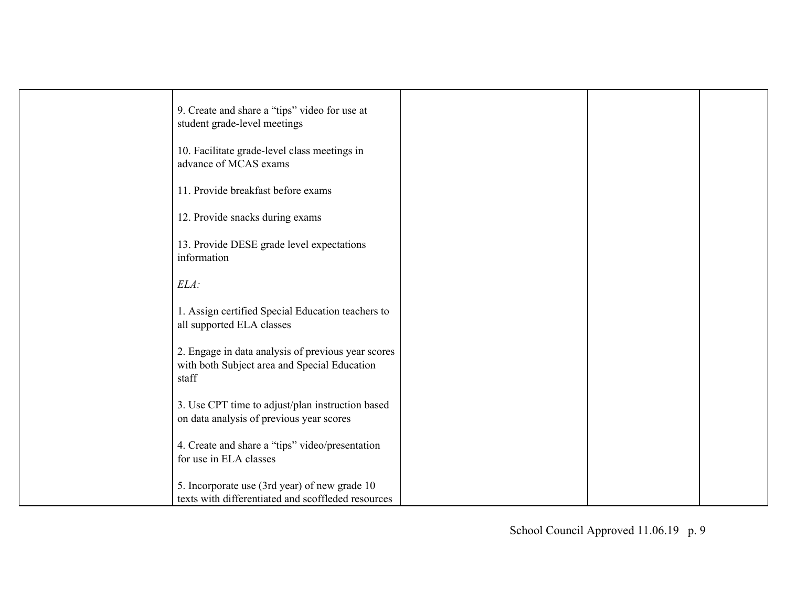| 9. Create and share a "tips" video for use at<br>student grade-level meetings                               |  |  |
|-------------------------------------------------------------------------------------------------------------|--|--|
| 10. Facilitate grade-level class meetings in<br>advance of MCAS exams                                       |  |  |
| 11. Provide breakfast before exams                                                                          |  |  |
| 12. Provide snacks during exams                                                                             |  |  |
| 13. Provide DESE grade level expectations<br>information                                                    |  |  |
| $ELA$ :                                                                                                     |  |  |
| 1. Assign certified Special Education teachers to<br>all supported ELA classes                              |  |  |
| 2. Engage in data analysis of previous year scores<br>with both Subject area and Special Education<br>staff |  |  |
| 3. Use CPT time to adjust/plan instruction based<br>on data analysis of previous year scores                |  |  |
| 4. Create and share a "tips" video/presentation<br>for use in ELA classes                                   |  |  |
| 5. Incorporate use (3rd year) of new grade 10<br>texts with differentiated and scoffleded resources         |  |  |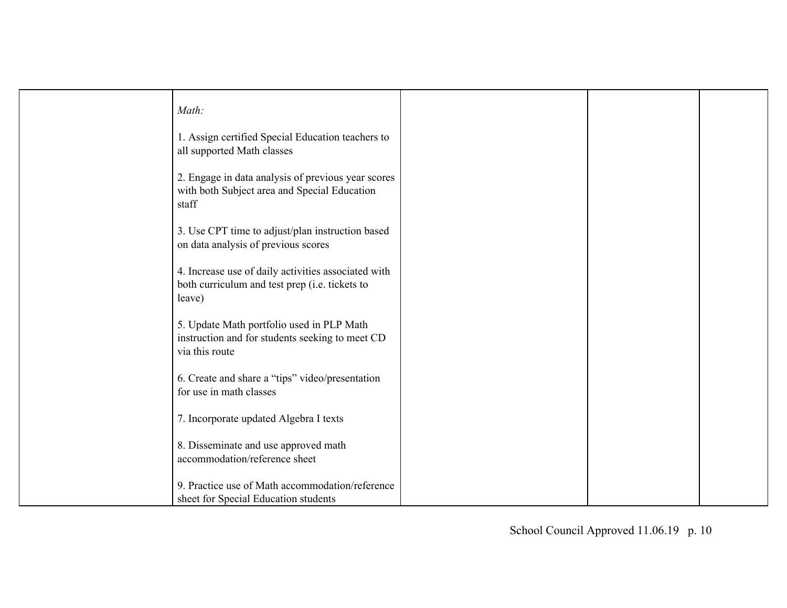| Math:                                                                                                           |  |  |
|-----------------------------------------------------------------------------------------------------------------|--|--|
| 1. Assign certified Special Education teachers to<br>all supported Math classes                                 |  |  |
| 2. Engage in data analysis of previous year scores<br>with both Subject area and Special Education<br>staff     |  |  |
| 3. Use CPT time to adjust/plan instruction based<br>on data analysis of previous scores                         |  |  |
| 4. Increase use of daily activities associated with<br>both curriculum and test prep (i.e. tickets to<br>leave) |  |  |
| 5. Update Math portfolio used in PLP Math<br>instruction and for students seeking to meet CD<br>via this route  |  |  |
| 6. Create and share a "tips" video/presentation<br>for use in math classes                                      |  |  |
| 7. Incorporate updated Algebra I texts                                                                          |  |  |
| 8. Disseminate and use approved math<br>accommodation/reference sheet                                           |  |  |
| 9. Practice use of Math accommodation/reference<br>sheet for Special Education students                         |  |  |